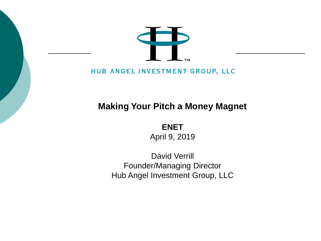

#### HUB ANGEL INVESTMENT GROUP, LLC

#### **Making Your Pitch a Money Magnet**

**ENET** April 9, 2019

David Verrill Founder/Managing Director Hub Angel Investment Group, LLC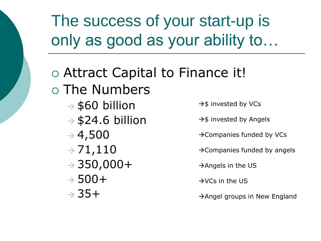The success of your start-up is only as good as your ability to…

- Attract Capital to Finance it! The Numbers  $\rightarrow$  \$60 billion  $\rightarrow$  \$24.6 billion  $\rightarrow$  4,500  $\rightarrow 71,110$  $\rightarrow$  350,000+  $\rightarrow$  500+  $\rightarrow$  35+  $\rightarrow$ \$ invested by VCs → \$ invested by Angels →Companies funded by VCs →Companies funded by angels  $\rightarrow$ Angels in the US  $\rightarrow$ VCs in the US
	- →Angel groups in New England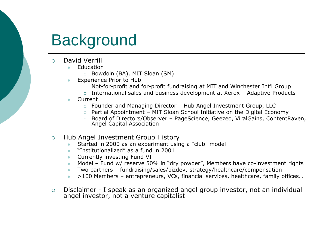## **Background**

- David Verrill
	- **Education** 
		- Bowdoin (BA), MIT Sloan (SM)
	- ⚫ Experience Prior to Hub
		- Not-for-profit and for-profit fundraising at MIT and Winchester Int'l Group
		- $\circ$  International sales and business development at Xerox Adaptive Products
	- **Current** 
		- Founder and Managing Director Hub Angel Investment Group, LLC
		- $\circ$  Partial Appointment MIT Sloan School Initiative on the Digital Economy
		- Board of Directors/Observer PageScience, Geezeo, ViralGains, ContentRaven, Angel Capital Association
- Hub Angel Investment Group History
	- Started in 2000 as an experiment using a "club" model
	- ⚫ "Institutionalized" as a fund in 2001
	- Currently investing Fund VI
	- Model Fund w/ reserve 50% in "dry powder", Members have co-investment rights
	- ⚫ Two partners fundraising/sales/bizdev, strategy/healthcare/compensation
	- ⚫ >100 Members entrepreneurs, VCs, financial services, healthcare, family offices…
- Disclaimer I speak as an organized angel group investor, not an individual angel investor, not a venture capitalist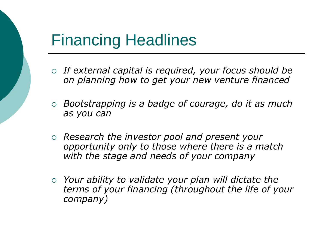### Financing Headlines

- *If external capital is required, your focus should be on planning how to get your new venture financed*
- *Bootstrapping is a badge of courage, do it as much as you can*
- *Research the investor pool and present your opportunity only to those where there is a match with the stage and needs of your company*
- *Your ability to validate your plan will dictate the terms of your financing (throughout the life of your company)*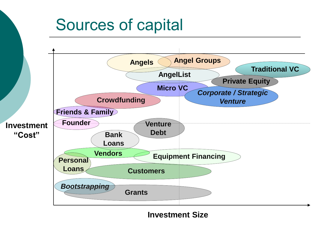#### **Investment "Cost" Traditional VC Micro VC Equipment Financing Angels Angel Groups AngelList** *Corporate / Strategic Venture* **Customers** *Bootstrapping* **Vendors Founder Friends & Family Crowdfunding Grants Venture Bank Debt Loans Personal Loans Private Equity** Sources of capital

**Investment Size**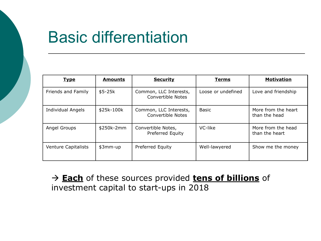## Basic differentiation

| <u>Type</u>                | <b>Amounts</b> | <b>Security</b>                             | <b>Terms</b>       | <b>Motivation</b>                    |
|----------------------------|----------------|---------------------------------------------|--------------------|--------------------------------------|
| Friends and Family         | $$5-25k$       | Common, LLC Interests,<br>Convertible Notes | Loose or undefined | Love and friendship                  |
| <b>Individual Angels</b>   | \$25k-100k     | Common, LLC Interests,<br>Convertible Notes | Basic              | More from the heart<br>than the head |
| Angel Groups               | \$250k-2mm     | Convertible Notes,<br>Preferred Equity      | VC-like            | More from the head<br>than the heart |
| <b>Venture Capitalists</b> | \$3mm-up       | Preferred Equity                            | Well-lawyered      | Show me the money                    |

→ **Each** of these sources provided **tens of billions** of investment capital to start-ups in 2018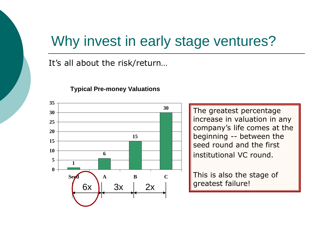#### Why invest in early stage ventures?

It's all about the risk/return…



**Typical Pre-money Valuations**

The greatest percentage increase in valuation in any company's life comes at the beginning -- between the seed round and the first institutional VC round.

This is also the stage of greatest failure!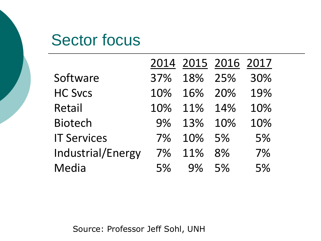#### Sector focus

|                    |     |     | 2014 2015 2016 2017 |     |
|--------------------|-----|-----|---------------------|-----|
| Software           | 37% | 18% | 25%                 | 30% |
| <b>HC Svcs</b>     | 10% | 16% | 20%                 | 19% |
| Retail             | 10% | 11% | 14%                 | 10% |
| <b>Biotech</b>     | 9%  | 13% | 10%                 | 10% |
| <b>IT Services</b> | 7%  | 10% | 5%                  | 5%  |
| Industrial/Energy  | 7%  | 11% | 8%                  | 7%  |
| Media              | 5%  | 9%  | 5%                  | 5%  |

Source: Professor Jeff Sohl, UNH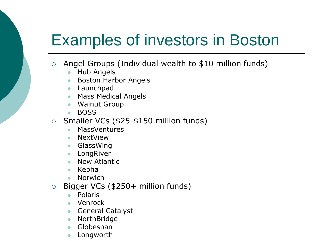# Examples of investors in Boston

- Angel Groups (Individual wealth to \$10 million funds)
	- ⚫ Hub Angels
	- Boston Harbor Angels
	- ⚫ Launchpad
	- Mass Medical Angels
	- ⚫ Walnut Group
	- ⚫ BOSS
- $\circ$  Smaller VCs (\$25-\$150 million funds)
	- ⚫ MassVentures
	- ⚫ NextView
	- ⚫ GlassWing
	- LongRiver
	- ⚫ New Atlantic
	- ⚫ Kepha
	- ⚫ Norwich
- Bigger VCs (\$250+ million funds)
	- ⚫ Polaris
	- ⚫ Venrock
	- General Catalyst
	- ⚫ NorthBridge
	- ⚫ Globespan
	- **Longworth**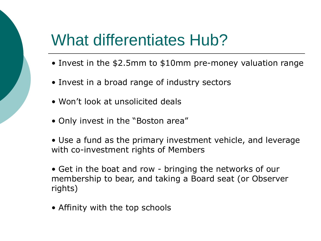### What differentiates Hub?

- Invest in the \$2.5mm to \$10mm pre-money valuation range
- Invest in a broad range of industry sectors
- Won't look at unsolicited deals
- Only invest in the "Boston area"
- Use a fund as the primary investment vehicle, and leverage with co-investment rights of Members
- Get in the boat and row bringing the networks of our membership to bear, and taking a Board seat (or Observer rights)
- Affinity with the top schools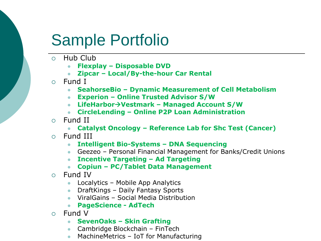## Sample Portfolio

- Hub Club
	- ⚫ **Flexplay – Disposable DVD**
	- ⚫ **Zipcar – Local/By-the-hour Car Rental**
- Fund I
	- ⚫ **SeahorseBio – Dynamic Measurement of Cell Metabolism**
	- ⚫ **Experion – Online Trusted Advisor S/W**
	- ⚫ **LifeHarbor**→**Vestmark – Managed Account S/W**
	- ⚫ **CircleLending – Online P2P Loan Administration**
- $\circ$  Fund II
	- ⚫ **Catalyst Oncology – Reference Lab for Shc Test (Cancer)**
- Fund III
	- ⚫ **Intelligent Bio-Systems – DNA Sequencing**
	- Geezeo Personal Financial Management for Banks/Credit Unions
	- ⚫ **Incentive Targeting – Ad Targeting**
	- ⚫ **Copiun – PC/Tablet Data Management**
- Fund IV
	- ⚫ Localytics Mobile App Analytics
	- ⚫ DraftKings Daily Fantasy Sports
	- ⚫ ViralGains Social Media Distribution
	- ⚫ **PageScience - AdTech**
- $\circ$  Fund V
	- ⚫ **SevenOaks – Skin Grafting**
	- ⚫ Cambridge Blockchain FinTech
	- MachineMetrics IoT for Manufacturing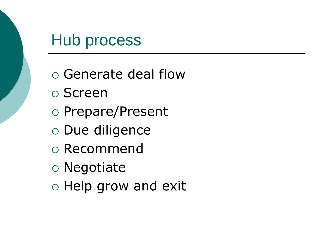#### Hub process

- Generate deal flow
- Screen
- o Prepare/Present
- Due diligence
- Recommend
- Negotiate
- $\circ$  Help grow and exit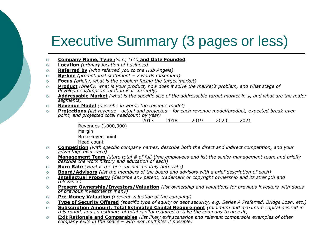#### Executive Summary (3 pages or less)

- **Company Name, Type** *(S, C, LLC)* **and Date Founded**
- **Location** *(primary location of business)*
- **Referred by** *(who referred you to the Hub Angels)*
- **By-line** *(promotional statement – 7 words maximum)*
- **Focus** *(briefly, what is the problem facing the target market)*
- **Product** *(briefly, what is your product, how does it solve the market's problem, and what stage of development/implementation is it currently)*
- **Addressable Market** *(what is the specific size of the addressable target market in \$, and what are the major segments)*
- **Revenue Model** *(describe in words the revenue model)*
- **Projections** *(list revenue - actual and projected - for each revenue model/product, expected break-even point, and projected total headcount by year)*

2017 2018 2019 2020 2021

Revenues (\$000,000) Margin Break-even point Head count

- **Competition** *(with specific company names, describe both the direct and indirect competition, and your advantage over each)*
- **Management Team** *(state total # of full-time employees and list the senior management team and briefly describe the work history and education of each)*
- **Burn Rate** *(what is the present net monthly burn rate)*
- **Board/Advisors** *(list the members of the board and advisors with a brief description of each)*
- **Intellectual Property** *(describe any patent, trademark or copyright ownership and its strength and relevance)*
- **Present Ownership/Investors/Valuation** *(list ownership and valuations for previous investors with dates of previous investments if any)*
- **Pre-Money Valuation** *(present valuation of the company)*
- **Type of Security Offered** *(specific type of equity or debt security, e.g. Series A Preferred, Bridge Loan, etc.)*
- **Subscription Amount, Total Estimated Capital Requirement** *(minimum and maximum capital desired in this round, and an estimate of total capital required to take the company to an exit)*
- **Exit Rationale and Comparables** *(list likely exit scenarios and relevant comparable examples of other company exits in the space – with exit multiples if possible)*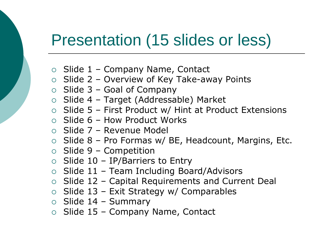### Presentation (15 slides or less)

- $\circ$  Slide 1 Company Name, Contact
- $\circ$  Slide 2 Overview of Key Take-away Points
- $\circ$  Slide 3 Goal of Company
- $\circ$  Slide 4 Target (Addressable) Market
- $\circ$  Slide 5 First Product w/ Hint at Product Extensions
- $\circ$  Slide 6 How Product Works
- Slide 7 Revenue Model
- $\circ$  Slide 8 Pro Formas w/ BE, Headcount, Margins, Etc.
- $\circ$  Slide 9 Competition
- $\circ$  Slide 10 IP/Barriers to Entry
- $\circ$  Slide 11 Team Including Board/Advisors
- $\circ$  Slide 12 Capital Requirements and Current Deal
- $\circ$  Slide 13 Exit Strategy w/ Comparables
- $\circ$  Slide 14 Summary
- $\circ$  Slide 15 Company Name, Contact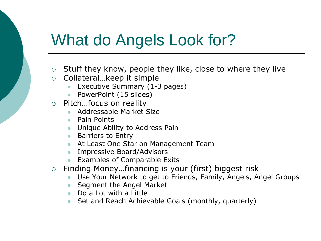## What do Angels Look for?

- $\circ$  Stuff they know, people they like, close to where they live
- $\circ$  Collateral... keep it simple
	- Executive Summary (1-3 pages)
	- PowerPoint (15 slides)
- Pitch…focus on reality
	- ⚫ Addressable Market Size
	- ⚫ Pain Points
	- Unique Ability to Address Pain
	- Barriers to Entry
	- At Least One Star on Management Team
	- ⚫ Impressive Board/Advisors
	- ⚫ Examples of Comparable Exits
- Finding Money…financing is your (first) biggest risk
	- Use Your Network to get to Friends, Family, Angels, Angel Groups
	- ⚫ Segment the Angel Market
	- Do a Lot with a Little
	- Set and Reach Achievable Goals (monthly, quarterly)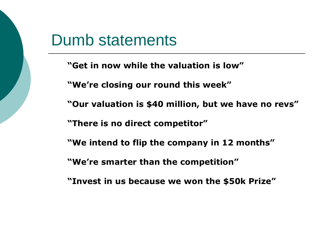#### Dumb statements

- **"Get in now while the valuation is low"**
- **"We're closing our round this week"**
- **"Our valuation is \$40 million, but we have no revs"**
- **"There is no direct competitor"**
- **"We intend to flip the company in 12 months"**
- **"We're smarter than the competition"**
- **"Invest in us because we won the \$50k Prize"**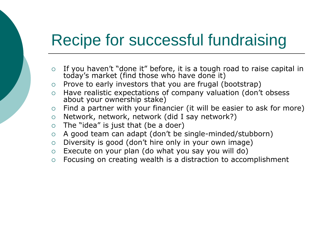### Recipe for successful fundraising

- $\circ$  If you haven't "done it" before, it is a tough road to raise capital in today's market (find those who have done it)
- $\circ$  Prove to early investors that you are frugal (bootstrap)
- Have realistic expectations of company valuation (don't obsess about your ownership stake)
- $\circ$  Find a partner with your financier (it will be easier to ask for more)
- $\circ$  Network, network, network (did I say network?)
- $\circ$  The "idea" is just that (be a doer)
- A good team can adapt (don't be single-minded/stubborn)
- $\circ$  Diversity is good (don't hire only in your own image)
- $\circ$  Execute on your plan (do what you say you will do)
- Focusing on creating wealth is a distraction to accomplishment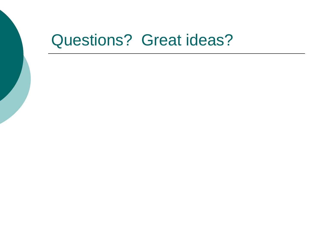#### Questions? Great ideas?